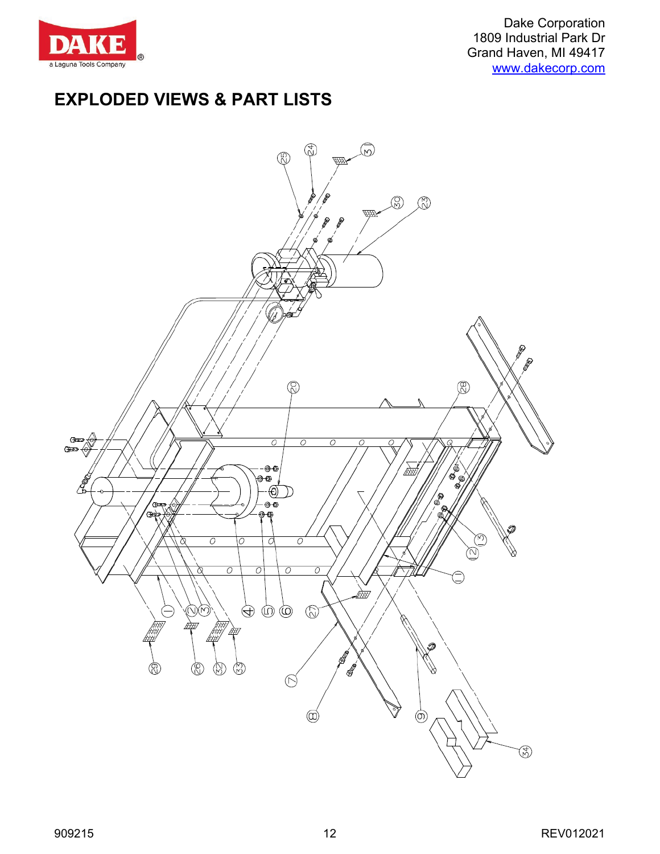

Dake Corporation 1809 Industrial Park Dr Grand Haven, MI 49417 [www.dakecorp.com](http://www.dakecorp.com/)

## **EXPLODED VIEWS & PART LISTS**

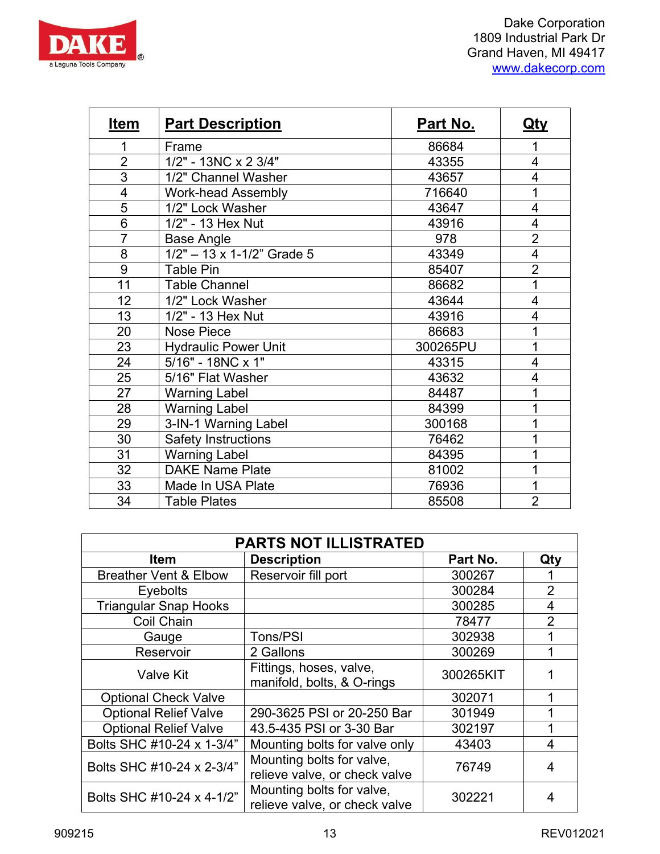

| Item           | <b>Part Description</b>             | Part No. | <u>Qty</u>     |
|----------------|-------------------------------------|----------|----------------|
| 1              | Frame                               | 86684    | 1              |
| $\overline{2}$ | 1/2" - 13NC x 2 3/4"                | 43355    | $\overline{4}$ |
| 3              | 1/2" Channel Washer                 | 43657    | 4              |
| 4              | <b>Work-head Assembly</b>           | 716640   | 1              |
| 5              | 1/2" Lock Washer                    | 43647    | 4              |
| 6              | 1/2" - 13 Hex Nut                   | 43916    | 4              |
| $\overline{7}$ | Base Angle                          | 978      | $\overline{2}$ |
| 8              | $1/2" - 13 \times 1 - 1/2"$ Grade 5 | 43349    | 4              |
| 9              | <b>Table Pin</b>                    | 85407    | $\overline{2}$ |
| 11             | <b>Table Channel</b>                | 86682    | 1              |
| 12             | 1/2" Lock Washer                    | 43644    | $\overline{4}$ |
| 13             | 1/2" - 13 Hex Nut                   | 43916    | 4              |
| 20             | <b>Nose Piece</b>                   | 86683    | 1              |
| 23             | <b>Hydraulic Power Unit</b>         | 300265PU | 1              |
| 24             | 5/16" - 18NC x 1"                   | 43315    | 4              |
| 25             | 5/16" Flat Washer                   | 43632    | 4              |
| 27             | <b>Warning Label</b>                | 84487    |                |
| 28             | <b>Warning Label</b>                | 84399    |                |
| 29             | 3-IN-1 Warning Label                | 300168   |                |
| 30             | <b>Safety Instructions</b>          | 76462    |                |
| 31             | <b>Warning Label</b>                | 84395    |                |
| 32             | <b>DAKE Name Plate</b>              | 81002    |                |
| 33             | Made In USA Plate                   | 76936    | 1              |
| 34             | <b>Table Plates</b>                 | 85508    | $\overline{2}$ |

| <b>PARTS NOT ILLISTRATED</b>     |                                                            |           |                |  |  |  |
|----------------------------------|------------------------------------------------------------|-----------|----------------|--|--|--|
| <b>Item</b>                      | <b>Description</b>                                         | Part No.  | Qty            |  |  |  |
| <b>Breather Vent &amp; Elbow</b> | Reservoir fill port                                        | 300267    |                |  |  |  |
| <b>Eyebolts</b>                  |                                                            | 300284    | $\overline{2}$ |  |  |  |
| <b>Triangular Snap Hooks</b>     |                                                            | 300285    | 4              |  |  |  |
| Coil Chain                       |                                                            | 78477     | $\overline{2}$ |  |  |  |
| Gauge                            | Tons/PSI                                                   | 302938    |                |  |  |  |
| Reservoir                        | 2 Gallons                                                  | 300269    |                |  |  |  |
| <b>Valve Kit</b>                 | Fittings, hoses, valve,<br>manifold, bolts, & O-rings      | 300265KIT |                |  |  |  |
| <b>Optional Check Valve</b>      |                                                            | 302071    |                |  |  |  |
| <b>Optional Relief Valve</b>     | 290-3625 PSI or 20-250 Bar                                 | 301949    |                |  |  |  |
| <b>Optional Relief Valve</b>     | 43.5-435 PSI or 3-30 Bar                                   | 302197    | 1              |  |  |  |
| Bolts SHC #10-24 x 1-3/4"        | Mounting bolts for valve only                              | 43403     | 4              |  |  |  |
| Bolts SHC #10-24 x 2-3/4"        | Mounting bolts for valve,<br>relieve valve, or check valve | 76749     | 4              |  |  |  |
| Bolts SHC #10-24 x 4-1/2"        | Mounting bolts for valve,<br>relieve valve, or check valve | 302221    | 4              |  |  |  |